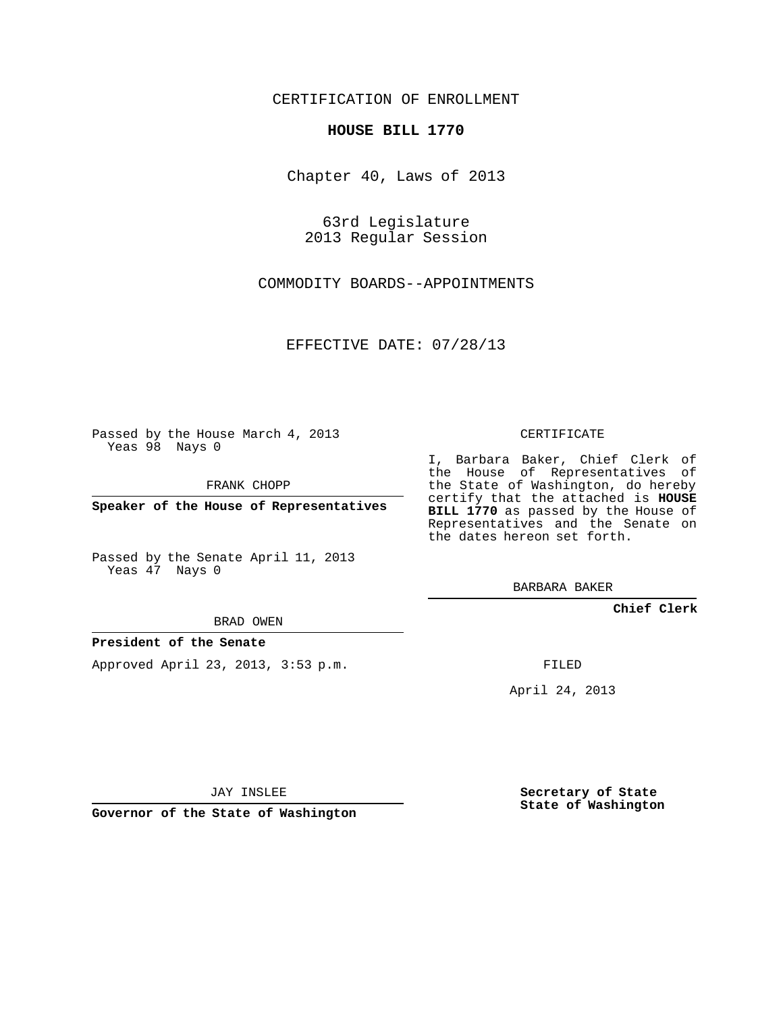## CERTIFICATION OF ENROLLMENT

## **HOUSE BILL 1770**

Chapter 40, Laws of 2013

63rd Legislature 2013 Regular Session

COMMODITY BOARDS--APPOINTMENTS

EFFECTIVE DATE: 07/28/13

Passed by the House March 4, 2013 Yeas 98 Nays 0

FRANK CHOPP

**Speaker of the House of Representatives**

Passed by the Senate April 11, 2013 Yeas 47 Nays 0

BRAD OWEN

## **President of the Senate**

Approved April 23, 2013, 3:53 p.m.

CERTIFICATE

I, Barbara Baker, Chief Clerk of the House of Representatives of the State of Washington, do hereby certify that the attached is **HOUSE BILL 1770** as passed by the House of Representatives and the Senate on the dates hereon set forth.

BARBARA BAKER

**Chief Clerk**

FILED

April 24, 2013

JAY INSLEE

**Governor of the State of Washington**

**Secretary of State State of Washington**